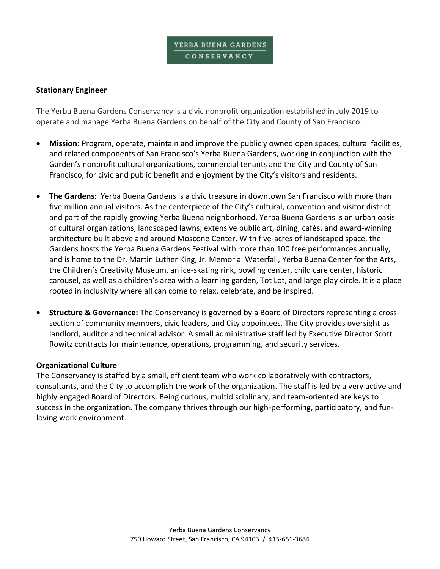#### **Stationary Engineer**

The Yerba Buena Gardens Conservancy is a civic nonprofit organization established in July 2019 to operate and manage Yerba Buena Gardens on behalf of the City and County of San Francisco.

- **Mission:** Program, operate, maintain and improve the publicly owned open spaces, cultural facilities, and related components of San Francisco's Yerba Buena Gardens, working in conjunction with the Garden's nonprofit cultural organizations, commercial tenants and the City and County of San Francisco, for civic and public benefit and enjoyment by the City's visitors and residents.
- **The Gardens:** Yerba Buena Gardens is a civic treasure in downtown San Francisco with more than five million annual visitors. As the centerpiece of the City's cultural, convention and visitor district and part of the rapidly growing Yerba Buena neighborhood, Yerba Buena Gardens is an urban oasis of cultural organizations, landscaped lawns, extensive public art, dining, cafés, and award-winning architecture built above and around Moscone Center. With five-acres of landscaped space, the Gardens hosts the Yerba Buena Gardens Festival with more than 100 free performances annually, and is home to the Dr. Martin Luther King, Jr. Memorial Waterfall, Yerba Buena Center for the Arts, the Children's Creativity Museum, an ice-skating rink, bowling center, child care center, historic carousel, as well as a children's area with a learning garden, Tot Lot, and large play circle. It is a place rooted in inclusivity where all can come to relax, celebrate, and be inspired.
- **Structure & Governance:** The Conservancy is governed by a Board of Directors representing a crosssection of community members, civic leaders, and City appointees. The City provides oversight as landlord, auditor and technical advisor. A small administrative staff led by Executive Director Scott Rowitz contracts for maintenance, operations, programming, and security services.

#### **Organizational Culture**

The Conservancy is staffed by a small, efficient team who work collaboratively with contractors, consultants, and the City to accomplish the work of the organization. The staff is led by a very active and highly engaged Board of Directors. Being curious, multidisciplinary, and team-oriented are keys to success in the organization. The company thrives through our high-performing, participatory, and funloving work environment.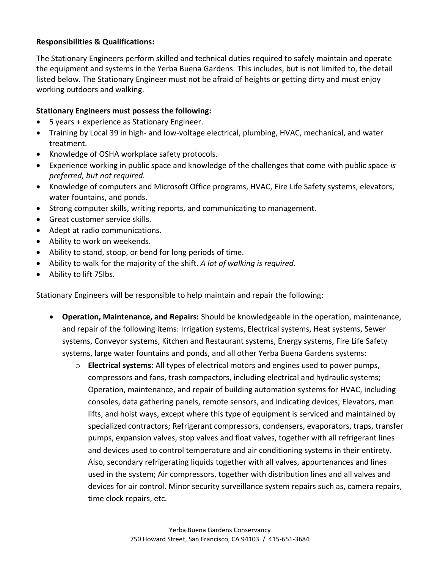## **Responsibilities & Qualifications:**

The Stationary Engineers perform skilled and technical duties required to safely maintain and operate the equipment and systems in the Yerba Buena Gardens. This includes, but is not limited to, the detail listed below. The Stationary Engineer must not be afraid of heights or getting dirty and must enjoy working outdoors and walking.

## **Stationary Engineers must possess the following:**

- 5 years + experience as Stationary Engineer.
- Training by Local 39 in high- and low-voltage electrical, plumbing, HVAC, mechanical, and water treatment.
- Knowledge of OSHA workplace safety protocols.
- Experience working in public space and knowledge of the challenges that come with public space *is preferred, but not required.*
- Knowledge of computers and Microsoft Office programs, HVAC, Fire Life Safety systems, elevators, water fountains, and ponds.
- Strong computer skills, writing reports, and communicating to management.
- Great customer service skills.
- Adept at radio communications.
- Ability to work on weekends.
- Ability to stand, stoop, or bend for long periods of time.
- Ability to walk for the majority of the shift. *A lot of walking is required.*
- Ability to lift 75lbs.

Stationary Engineers will be responsible to help maintain and repair the following:

- **Operation, Maintenance, and Repairs:** Should be knowledgeable in the operation, maintenance, and repair of the following items: Irrigation systems, Electrical systems, Heat systems, Sewer systems, Conveyor systems, Kitchen and Restaurant systems, Energy systems, Fire Life Safety systems, large water fountains and ponds, and all other Yerba Buena Gardens systems:
	- o **Electrical systems:** All types of electrical motors and engines used to power pumps, compressors and fans, trash compactors, including electrical and hydraulic systems; Operation, maintenance, and repair of building automation systems for HVAC, including consoles, data gathering panels, remote sensors, and indicating devices; Elevators, man lifts, and hoist ways, except where this type of equipment is serviced and maintained by specialized contractors; Refrigerant compressors, condensers, evaporators, traps, transfer pumps, expansion valves, stop valves and float valves, together with all refrigerant lines and devices used to control temperature and air conditioning systems in their entirety. Also, secondary refrigerating liquids together with all valves, appurtenances and lines used in the system; Air compressors, together with distribution lines and all valves and devices for air control. Minor security surveillance system repairs such as, camera repairs, time clock repairs, etc.